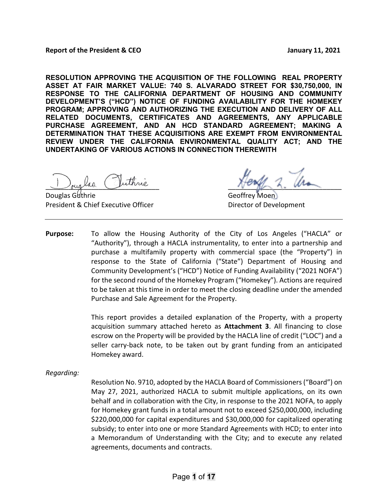### **Report of the President & CEO January 11, 2021**

**RESOLUTION APPROVING THE ACQUISITION OF THE FOLLOWING REAL PROPERTY ASSET AT FAIR MARKET VALUE: 740 S. ALVARADO STREET FOR \$30,750,000, IN RESPONSE TO THE CALIFORNIA DEPARTMENT OF HOUSING AND COMMUNITY DEVELOPMENT'S ("HCD") NOTICE OF FUNDING AVAILABILITY FOR THE HOMEKEY PROGRAM; APPROVING AND AUTHORIZING THE EXECUTION AND DELIVERY OF ALL RELATED DOCUMENTS, CERTIFICATES AND AGREEMENTS, ANY APPLICABLE PURCHASE AGREEMENT, AND AN HCD STANDARD AGREEMENT; MAKING A DETERMINATION THAT THESE ACQUISITIONS ARE EXEMPT FROM ENVIRONMENTAL REVIEW UNDER THE CALIFORNIA ENVIRONMENTAL QUALITY ACT; AND THE UNDERTAKING OF VARIOUS ACTIONS IN CONNECTION THEREWITH**

President & Chief Executive Officer **Director of Development** 

buglad cuivale du Barbon de Marie 1.

Geoffrey Moen.

**Purpose:** To allow the Housing Authority of the City of Los Angeles ("HACLA" or "Authority"), through a HACLA instrumentality, to enter into a partnership and purchase a multifamily property with commercial space (the "Property") in response to the State of California ("State") Department of Housing and Community Development's ("HCD") Notice of Funding Availability ("2021 NOFA") for the second round of the Homekey Program ("Homekey"). Actions are required to be taken at this time in order to meet the closing deadline under the amended Purchase and Sale Agreement for the Property.

> This report provides a detailed explanation of the Property, with a property acquisition summary attached hereto as **Attachment 3**. All financing to close escrow on the Property will be provided by the HACLA line of credit ("LOC") and a seller carry-back note, to be taken out by grant funding from an anticipated Homekey award.

### *Regarding:*

Resolution No. 9710, adopted by the HACLA Board of Commissioners ("Board") on May 27, 2021, authorized HACLA to submit multiple applications, on its own behalf and in collaboration with the City, in response to the 2021 NOFA, to apply for Homekey grant funds in a total amount not to exceed \$250,000,000, including \$220,000,000 for capital expenditures and \$30,000,000 for capitalized operating subsidy; to enter into one or more Standard Agreements with HCD; to enter into a Memorandum of Understanding with the City; and to execute any related agreements, documents and contracts.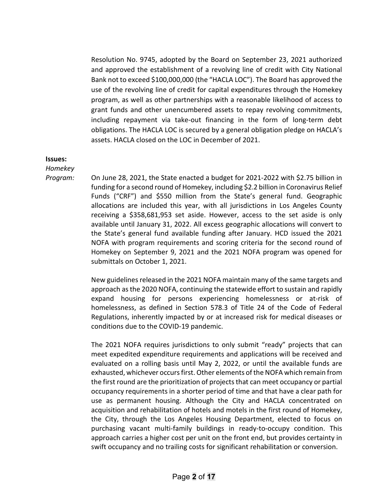Resolution No. 9745, adopted by the Board on September 23, 2021 authorized and approved the establishment of a revolving line of credit with City National Bank not to exceed \$100,000,000 (the "HACLA LOC"). The Board has approved the use of the revolving line of credit for capital expenditures through the Homekey program, as well as other partnerships with a reasonable likelihood of access to grant funds and other unencumbered assets to repay revolving commitments, including repayment via take-out financing in the form of long-term debt obligations. The HACLA LOC is secured by a general obligation pledge on HACLA's assets. HACLA closed on the LOC in December of 2021.

### **Issues:**

*Homekey* 

*Program:* On June 28, 2021, the State enacted a budget for 2021-2022 with \$2.75 billion in funding for a second round of Homekey, including \$2.2 billion in Coronavirus Relief Funds ("CRF") and \$550 million from the State's general fund. Geographic allocations are included this year, with all jurisdictions in Los Angeles County receiving a \$358,681,953 set aside. However, access to the set aside is only available until January 31, 2022. All excess geographic allocations will convert to the State's general fund available funding after January. HCD issued the 2021 NOFA with program requirements and scoring criteria for the second round of Homekey on September 9, 2021 and the 2021 NOFA program was opened for submittals on October 1, 2021.

> New guidelines released in the 2021 NOFA maintain many of the same targets and approach as the 2020 NOFA, continuing the statewide effort to sustain and rapidly expand housing for persons experiencing homelessness or at-risk of homelessness, as defined in Section 578.3 of Title 24 of the Code of Federal Regulations, inherently impacted by or at increased risk for medical diseases or conditions due to the COVID-19 pandemic.

> The 2021 NOFA requires jurisdictions to only submit "ready" projects that can meet expedited expenditure requirements and applications will be received and evaluated on a rolling basis until May 2, 2022, or until the available funds are exhausted, whichever occurs first. Other elements of the NOFA which remain from the first round are the prioritization of projects that can meet occupancy or partial occupancy requirements in a shorter period of time and that have a clear path for use as permanent housing. Although the City and HACLA concentrated on acquisition and rehabilitation of hotels and motels in the first round of Homekey, the City, through the Los Angeles Housing Department, elected to focus on purchasing vacant multi-family buildings in ready-to-occupy condition. This approach carries a higher cost per unit on the front end, but provides certainty in swift occupancy and no trailing costs for significant rehabilitation or conversion.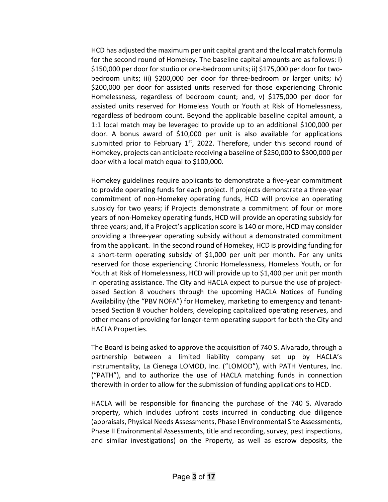HCD has adjusted the maximum per unit capital grant and the local match formula for the second round of Homekey. The baseline capital amounts are as follows: i) \$150,000 per door for studio or one-bedroom units; ii) \$175,000 per door for twobedroom units; iii) \$200,000 per door for three-bedroom or larger units; iv) \$200,000 per door for assisted units reserved for those experiencing Chronic Homelessness, regardless of bedroom count; and, v) \$175,000 per door for assisted units reserved for Homeless Youth or Youth at Risk of Homelessness, regardless of bedroom count. Beyond the applicable baseline capital amount, a 1:1 local match may be leveraged to provide up to an additional \$100,000 per door. A bonus award of \$10,000 per unit is also available for applications submitted prior to February  $1<sup>st</sup>$ , 2022. Therefore, under this second round of Homekey, projects can anticipate receiving a baseline of \$250,000 to \$300,000 per door with a local match equal to \$100,000.

Homekey guidelines require applicants to demonstrate a five-year commitment to provide operating funds for each project. If projects demonstrate a three-year commitment of non-Homekey operating funds, HCD will provide an operating subsidy for two years; if Projects demonstrate a commitment of four or more years of non-Homekey operating funds, HCD will provide an operating subsidy for three years; and, if a Project's application score is 140 or more, HCD may consider providing a three-year operating subsidy without a demonstrated commitment from the applicant. In the second round of Homekey, HCD is providing funding for a short-term operating subsidy of \$1,000 per unit per month. For any units reserved for those experiencing Chronic Homelessness, Homeless Youth, or for Youth at Risk of Homelessness, HCD will provide up to \$1,400 per unit per month in operating assistance. The City and HACLA expect to pursue the use of projectbased Section 8 vouchers through the upcoming HACLA Notices of Funding Availability (the "PBV NOFA") for Homekey, marketing to emergency and tenantbased Section 8 voucher holders, developing capitalized operating reserves, and other means of providing for longer-term operating support for both the City and HACLA Properties.

The Board is being asked to approve the acquisition of 740 S. Alvarado, through a partnership between a limited liability company set up by HACLA's instrumentality, La Cienega LOMOD, Inc. ("LOMOD"), with PATH Ventures, Inc. ("PATH"), and to authorize the use of HACLA matching funds in connection therewith in order to allow for the submission of funding applications to HCD.

HACLA will be responsible for financing the purchase of the 740 S. Alvarado property, which includes upfront costs incurred in conducting due diligence (appraisals, Physical Needs Assessments, Phase I Environmental Site Assessments, Phase II Environmental Assessments, title and recording, survey, pest inspections, and similar investigations) on the Property, as well as escrow deposits, the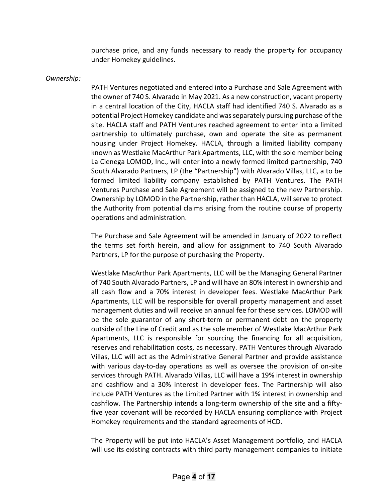purchase price, and any funds necessary to ready the property for occupancy under Homekey guidelines.

## *Ownership:*

PATH Ventures negotiated and entered into a Purchase and Sale Agreement with the owner of 740 S. Alvarado in May 2021. As a new construction, vacant property in a central location of the City, HACLA staff had identified 740 S. Alvarado as a potential Project Homekey candidate and was separately pursuing purchase of the site. HACLA staff and PATH Ventures reached agreement to enter into a limited partnership to ultimately purchase, own and operate the site as permanent housing under Project Homekey. HACLA, through a limited liability company known as Westlake MacArthur Park Apartments, LLC, with the sole member being La Cienega LOMOD, Inc., will enter into a newly formed limited partnership, 740 South Alvarado Partners, LP (the "Partnership") with Alvarado Villas, LLC, a to be formed limited liability company established by PATH Ventures. The PATH Ventures Purchase and Sale Agreement will be assigned to the new Partnership. Ownership by LOMOD in the Partnership, rather than HACLA, will serve to protect the Authority from potential claims arising from the routine course of property operations and administration.

The Purchase and Sale Agreement will be amended in January of 2022 to reflect the terms set forth herein, and allow for assignment to 740 South Alvarado Partners, LP for the purpose of purchasing the Property.

Westlake MacArthur Park Apartments, LLC will be the Managing General Partner of 740 South Alvarado Partners, LP and will have an 80% interest in ownership and all cash flow and a 70% interest in developer fees. Westlake MacArthur Park Apartments, LLC will be responsible for overall property management and asset management duties and will receive an annual fee for these services. LOMOD will be the sole guarantor of any short-term or permanent debt on the property outside of the Line of Credit and as the sole member of Westlake MacArthur Park Apartments, LLC is responsible for sourcing the financing for all acquisition, reserves and rehabilitation costs, as necessary. PATH Ventures through Alvarado Villas, LLC will act as the Administrative General Partner and provide assistance with various day-to-day operations as well as oversee the provision of on-site services through PATH. Alvarado Villas, LLC will have a 19% interest in ownership and cashflow and a 30% interest in developer fees. The Partnership will also include PATH Ventures as the Limited Partner with 1% interest in ownership and cashflow. The Partnership intends a long-term ownership of the site and a fiftyfive year covenant will be recorded by HACLA ensuring compliance with Project Homekey requirements and the standard agreements of HCD.

The Property will be put into HACLA's Asset Management portfolio, and HACLA will use its existing contracts with third party management companies to initiate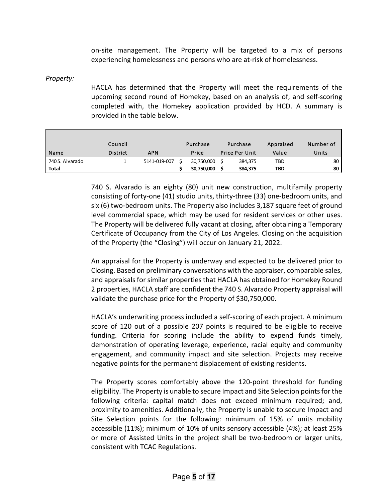on-site management. The Property will be targeted to a mix of persons experiencing homelessness and persons who are at-risk of homelessness.

*Property:*

HACLA has determined that the Property will meet the requirements of the upcoming second round of Homekey, based on an analysis of, and self-scoring completed with, the Homekey application provided by HCD. A summary is provided in the table below.

|                 | Council         |              | Purchase   | Purchase              | Appraised | Number of |
|-----------------|-----------------|--------------|------------|-----------------------|-----------|-----------|
| Name            | <b>District</b> | <b>APN</b>   | Price      | <b>Price Per Unit</b> | Value     | Units     |
| 740 S. Alvarado |                 | 5141-019-007 | 30,750,000 | 384,375               | TBD       | 80        |
| <b>Total</b>    |                 |              | 30,750,000 | 384,375               | TBD       | 80        |

740 S. Alvarado is an eighty (80) unit new construction, multifamily property consisting of forty-one (41) studio units, thirty-three (33) one-bedroom units, and six (6) two-bedroom units. The Property also includes 3,187 square feet of ground level commercial space, which may be used for resident services or other uses. The Property will be delivered fully vacant at closing, after obtaining a Temporary Certificate of Occupancy from the City of Los Angeles. Closing on the acquisition of the Property (the "Closing") will occur on January 21, 2022.

An appraisal for the Property is underway and expected to be delivered prior to Closing. Based on preliminary conversations with the appraiser, comparable sales, and appraisals for similar properties that HACLA has obtained for Homekey Round 2 properties, HACLA staff are confident the 740 S. Alvarado Property appraisal will validate the purchase price for the Property of \$30,750,000.

HACLA's underwriting process included a self-scoring of each project. A minimum score of 120 out of a possible 207 points is required to be eligible to receive funding. Criteria for scoring include the ability to expend funds timely, demonstration of operating leverage, experience, racial equity and community engagement, and community impact and site selection. Projects may receive negative points for the permanent displacement of existing residents.

The Property scores comfortably above the 120-point threshold for funding eligibility. The Property is unable to secure Impact and Site Selection points for the following criteria: capital match does not exceed minimum required; and, proximity to amenities. Additionally, the Property is unable to secure Impact and Site Selection points for the following: minimum of 15% of units mobility accessible (11%); minimum of 10% of units sensory accessible (4%); at least 25% or more of Assisted Units in the project shall be two-bedroom or larger units, consistent with TCAC Regulations.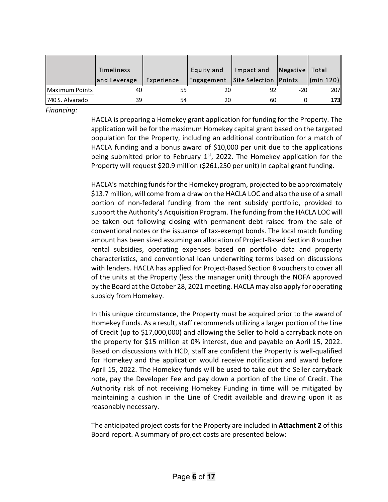|                  | Timeliness   |            | Equity and | Impact and              | Negative | Total      |
|------------------|--------------|------------|------------|-------------------------|----------|------------|
|                  | and Leverage | Experience | Engagement | Site Selection   Points |          | (min 120)  |
| Maximum Points   | 40           |            | 20         |                         | -20      | <b>207</b> |
| 1740 S. Alvarado | 39           | 54         | 20         | 60                      |          | 173I       |

*Financing:*

HACLA is preparing a Homekey grant application for funding for the Property. The application will be for the maximum Homekey capital grant based on the targeted population for the Property, including an additional contribution for a match of HACLA funding and a bonus award of \$10,000 per unit due to the applications being submitted prior to February  $1<sup>st</sup>$ , 2022. The Homekey application for the Property will request \$20.9 million (\$261,250 per unit) in capital grant funding.

HACLA's matching funds for the Homekey program, projected to be approximately \$13.7 million, will come from a draw on the HACLA LOC and also the use of a small portion of non-federal funding from the rent subsidy portfolio, provided to support the Authority's Acquisition Program. The funding from the HACLA LOC will be taken out following closing with permanent debt raised from the sale of conventional notes or the issuance of tax-exempt bonds. The local match funding amount has been sized assuming an allocation of Project-Based Section 8 voucher rental subsidies, operating expenses based on portfolio data and property characteristics, and conventional loan underwriting terms based on discussions with lenders. HACLA has applied for Project-Based Section 8 vouchers to cover all of the units at the Property (less the manager unit) through the NOFA approved by the Board at the October 28, 2021 meeting. HACLA may also apply for operating subsidy from Homekey.

In this unique circumstance, the Property must be acquired prior to the award of Homekey Funds. As a result, staff recommends utilizing a larger portion of the Line of Credit (up to \$17,000,000) and allowing the Seller to hold a carryback note on the property for \$15 million at 0% interest, due and payable on April 15, 2022. Based on discussions with HCD, staff are confident the Property is well-qualified for Homekey and the application would receive notification and award before April 15, 2022. The Homekey funds will be used to take out the Seller carryback note, pay the Developer Fee and pay down a portion of the Line of Credit. The Authority risk of not receiving Homekey Funding in time will be mitigated by maintaining a cushion in the Line of Credit available and drawing upon it as reasonably necessary.

The anticipated project costs for the Property are included in **Attachment 2** of this Board report. A summary of project costs are presented below: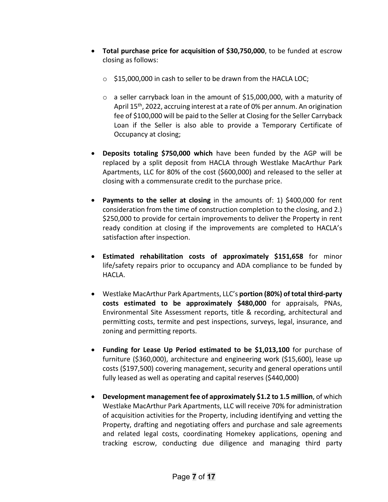- **Total purchase price for acquisition of \$30,750,000**, to be funded at escrow closing as follows:
	- $\circ$  \$15,000,000 in cash to seller to be drawn from the HACLA LOC;
	- o a seller carryback loan in the amount of \$15,000,000, with a maturity of April 15th, 2022, accruing interest at a rate of 0% per annum. An origination fee of \$100,000 will be paid to the Seller at Closing for the Seller Carryback Loan if the Seller is also able to provide a Temporary Certificate of Occupancy at closing;
- **Deposits totaling \$750,000 which** have been funded by the AGP will be replaced by a split deposit from HACLA through Westlake MacArthur Park Apartments, LLC for 80% of the cost (\$600,000) and released to the seller at closing with a commensurate credit to the purchase price.
- **Payments to the seller at closing** in the amounts of: 1) \$400,000 for rent consideration from the time of construction completion to the closing, and 2.) \$250,000 to provide for certain improvements to deliver the Property in rent ready condition at closing if the improvements are completed to HACLA's satisfaction after inspection.
- **Estimated rehabilitation costs of approximately \$151,658** for minor life/safety repairs prior to occupancy and ADA compliance to be funded by HACLA.
- Westlake MacArthur Park Apartments, LLC's **portion (80%) of total third-party costs estimated to be approximately \$480,000** for appraisals, PNAs, Environmental Site Assessment reports, title & recording, architectural and permitting costs, termite and pest inspections, surveys, legal, insurance, and zoning and permitting reports.
- **Funding for Lease Up Period estimated to be \$1,013,100** for purchase of furniture (\$360,000), architecture and engineering work (\$15,600), lease up costs (\$197,500) covering management, security and general operations until fully leased as well as operating and capital reserves (\$440,000)
- **Development management fee of approximately \$1.2 to 1.5 million**, of which Westlake MacArthur Park Apartments, LLC will receive 70% for administration of acquisition activities for the Property, including identifying and vetting the Property, drafting and negotiating offers and purchase and sale agreements and related legal costs, coordinating Homekey applications, opening and tracking escrow, conducting due diligence and managing third party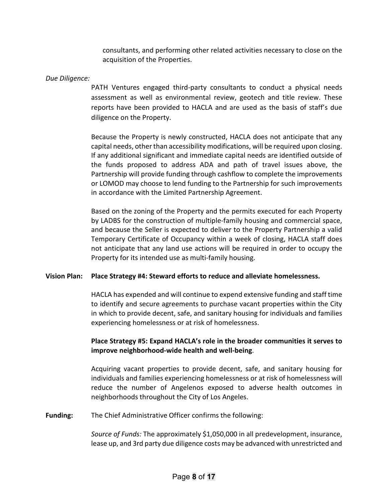consultants, and performing other related activities necessary to close on the acquisition of the Properties.

# *Due Diligence:*

PATH Ventures engaged third-party consultants to conduct a physical needs assessment as well as environmental review, geotech and title review. These reports have been provided to HACLA and are used as the basis of staff's due diligence on the Property.

Because the Property is newly constructed, HACLA does not anticipate that any capital needs, other than accessibility modifications, will be required upon closing. If any additional significant and immediate capital needs are identified outside of the funds proposed to address ADA and path of travel issues above, the Partnership will provide funding through cashflow to complete the improvements or LOMOD may choose to lend funding to the Partnership for such improvements in accordance with the Limited Partnership Agreement.

Based on the zoning of the Property and the permits executed for each Property by LADBS for the construction of multiple-family housing and commercial space, and because the Seller is expected to deliver to the Property Partnership a valid Temporary Certificate of Occupancy within a week of closing, HACLA staff does not anticipate that any land use actions will be required in order to occupy the Property for its intended use as multi-family housing.

# **Vision Plan: Place Strategy #4: Steward efforts to reduce and alleviate homelessness.**

HACLA has expended and will continue to expend extensive funding and staff time to identify and secure agreements to purchase vacant properties within the City in which to provide decent, safe, and sanitary housing for individuals and families experiencing homelessness or at risk of homelessness.

# **Place Strategy #5: Expand HACLA's role in the broader communities it serves to improve neighborhood-wide health and well-being**.

Acquiring vacant properties to provide decent, safe, and sanitary housing for individuals and families experiencing homelessness or at risk of homelessness will reduce the number of Angelenos exposed to adverse health outcomes in neighborhoods throughout the City of Los Angeles.

**Funding:** The Chief Administrative Officer confirms the following:

*Source of Funds:* The approximately \$1,050,000 in all predevelopment, insurance, lease up, and 3rd party due diligence costs may be advanced with unrestricted and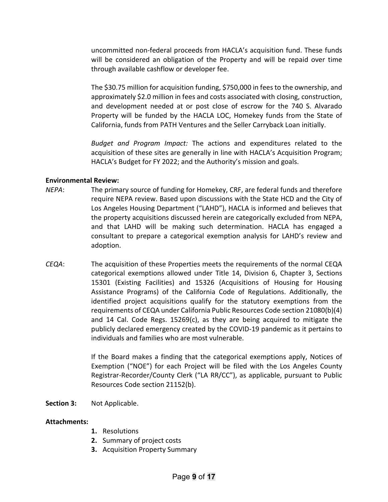uncommitted non-federal proceeds from HACLA's acquisition fund. These funds will be considered an obligation of the Property and will be repaid over time through available cashflow or developer fee.

The \$30.75 million for acquisition funding, \$750,000 in fees to the ownership, and approximately \$2.0 million in fees and costs associated with closing, construction, and development needed at or post close of escrow for the 740 S. Alvarado Property will be funded by the HACLA LOC, Homekey funds from the State of California, funds from PATH Ventures and the Seller Carryback Loan initially.

*Budget and Program Impact:* The actions and expenditures related to the acquisition of these sites are generally in line with HACLA's Acquisition Program; HACLA's Budget for FY 2022; and the Authority's mission and goals.

# **Environmental Review:**

- *NEPA*: The primary source of funding for Homekey, CRF, are federal funds and therefore require NEPA review. Based upon discussions with the State HCD and the City of Los Angeles Housing Department ("LAHD"), HACLA is informed and believes that the property acquisitions discussed herein are categorically excluded from NEPA, and that LAHD will be making such determination. HACLA has engaged a consultant to prepare a categorical exemption analysis for LAHD's review and adoption.
- *CEQA*: The acquisition of these Properties meets the requirements of the normal CEQA categorical exemptions allowed under Title 14, Division 6, Chapter 3, Sections 15301 (Existing Facilities) and 15326 (Acquisitions of Housing for Housing Assistance Programs) of the California Code of Regulations. Additionally, the identified project acquisitions qualify for the statutory exemptions from the requirements of CEQA under California Public Resources Code section 21080(b)(4) and 14 Cal. Code Regs.  $15269(c)$ , as they are being acquired to mitigate the publicly declared emergency created by the COVID-19 pandemic as it pertains to individuals and families who are most vulnerable.

If the Board makes a finding that the categorical exemptions apply, Notices of Exemption ("NOE") for each Project will be filed with the Los Angeles County Registrar-Recorder/County Clerk ("LA RR/CC"), as applicable, pursuant to Public Resources Code section 21152(b).

**Section 3:** Not Applicable.

### **Attachments:**

- **1.** Resolutions
- **2.** Summary of project costs
- **3.** Acquisition Property Summary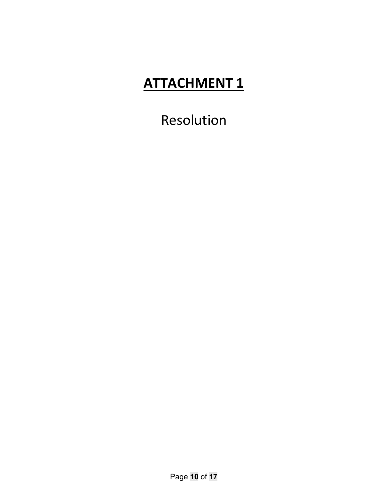Resolution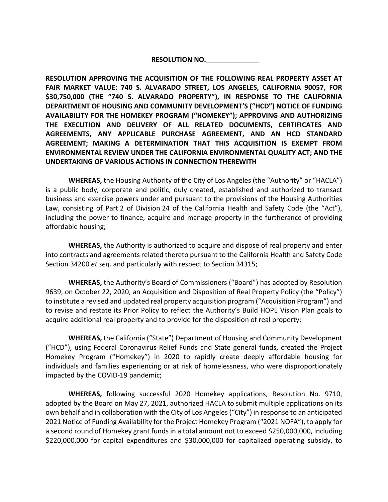# **RESOLUTION NO.\_\_\_\_\_\_\_\_\_\_\_\_\_\_**

**RESOLUTION APPROVING THE ACQUISITION OF THE FOLLOWING REAL PROPERTY ASSET AT FAIR MARKET VALUE: 740 S. ALVARADO STREET, LOS ANGELES, CALIFORNIA 90057, FOR \$30,750,000 (THE "740 S. ALVARADO PROPERTY"), IN RESPONSE TO THE CALIFORNIA DEPARTMENT OF HOUSING AND COMMUNITY DEVELOPMENT'S ("HCD") NOTICE OF FUNDING AVAILABILITY FOR THE HOMEKEY PROGRAM ("HOMEKEY"); APPROVING AND AUTHORIZING THE EXECUTION AND DELIVERY OF ALL RELATED DOCUMENTS, CERTIFICATES AND AGREEMENTS, ANY APPLICABLE PURCHASE AGREEMENT, AND AN HCD STANDARD AGREEMENT; MAKING A DETERMINATION THAT THIS ACQUISITION IS EXEMPT FROM ENVIRONMENTAL REVIEW UNDER THE CALIFORNIA ENVIRONMENTAL QUALITY ACT; AND THE UNDERTAKING OF VARIOUS ACTIONS IN CONNECTION THEREWITH**

**WHEREAS,** the Housing Authority of the City of Los Angeles (the "Authority" or "HACLA") is a public body, corporate and politic, duly created, established and authorized to transact business and exercise powers under and pursuant to the provisions of the Housing Authorities Law, consisting of Part 2 of Division 24 of the California Health and Safety Code (the "Act"), including the power to finance, acquire and manage property in the furtherance of providing affordable housing;

**WHEREAS,** the Authority is authorized to acquire and dispose of real property and enter into contracts and agreements related thereto pursuant to the California Health and Safety Code Section 34200 *et seq*. and particularly with respect to Section 34315;

**WHEREAS,** the Authority's Board of Commissioners ("Board") has adopted by Resolution 9639, on October 22, 2020, an Acquisition and Disposition of Real Property Policy (the "Policy") to institute a revised and updated real property acquisition program ("Acquisition Program") and to revise and restate its Prior Policy to reflect the Authority's Build HOPE Vision Plan goals to acquire additional real property and to provide for the disposition of real property;

**WHEREAS,** the California ("State") Department of Housing and Community Development ("HCD"), using Federal Coronavirus Relief Funds and State general funds, created the Project Homekey Program ("Homekey") in 2020 to rapidly create deeply affordable housing for individuals and families experiencing or at risk of homelessness, who were disproportionately impacted by the COVID-19 pandemic;

**WHEREAS,** following successful 2020 Homekey applications, Resolution No. 9710, adopted by the Board on May 27, 2021, authorized HACLA to submit multiple applications on its own behalf and in collaboration with the City of Los Angeles ("City") in response to an anticipated 2021 Notice of Funding Availability for the Project Homekey Program ("2021 NOFA"), to apply for a second round of Homekey grant funds in a total amount not to exceed \$250,000,000, including \$220,000,000 for capital expenditures and \$30,000,000 for capitalized operating subsidy, to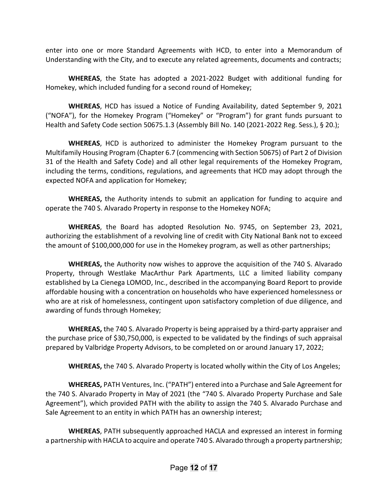enter into one or more Standard Agreements with HCD, to enter into a Memorandum of Understanding with the City, and to execute any related agreements, documents and contracts;

**WHEREAS**, the State has adopted a 2021-2022 Budget with additional funding for Homekey, which included funding for a second round of Homekey;

**WHEREAS**, HCD has issued a Notice of Funding Availability, dated September 9, 2021 ("NOFA"), for the Homekey Program ("Homekey" or "Program") for grant funds pursuant to Health and Safety Code section 50675.1.3 (Assembly Bill No. 140 (2021-2022 Reg. Sess.), § 20.);

**WHEREAS**, HCD is authorized to administer the Homekey Program pursuant to the Multifamily Housing Program (Chapter 6.7 (commencing with Section 50675) of Part 2 of Division 31 of the Health and Safety Code) and all other legal requirements of the Homekey Program, including the terms, conditions, regulations, and agreements that HCD may adopt through the expected NOFA and application for Homekey;

**WHEREAS,** the Authority intends to submit an application for funding to acquire and operate the 740 S. Alvarado Property in response to the Homekey NOFA;

**WHEREAS**, the Board has adopted Resolution No. 9745, on September 23, 2021, authorizing the establishment of a revolving line of credit with City National Bank not to exceed the amount of \$100,000,000 for use in the Homekey program, as well as other partnerships;

**WHEREAS,** the Authority now wishes to approve the acquisition of the 740 S. Alvarado Property, through Westlake MacArthur Park Apartments, LLC a limited liability company established by La Cienega LOMOD, Inc., described in the accompanying Board Report to provide affordable housing with a concentration on households who have experienced homelessness or who are at risk of homelessness, contingent upon satisfactory completion of due diligence, and awarding of funds through Homekey;

**WHEREAS,** the 740 S. Alvarado Property is being appraised by a third-party appraiser and the purchase price of \$30,750,000, is expected to be validated by the findings of such appraisal prepared by Valbridge Property Advisors, to be completed on or around January 17, 2022;

**WHEREAS,** the 740 S. Alvarado Property is located wholly within the City of Los Angeles;

**WHEREAS,** PATH Ventures, Inc. ("PATH") entered into a Purchase and Sale Agreement for the 740 S. Alvarado Property in May of 2021 (the "740 S. Alvarado Property Purchase and Sale Agreement"), which provided PATH with the ability to assign the 740 S. Alvarado Purchase and Sale Agreement to an entity in which PATH has an ownership interest;

**WHEREAS**, PATH subsequently approached HACLA and expressed an interest in forming a partnership with HACLA to acquire and operate 740 S. Alvarado through a property partnership;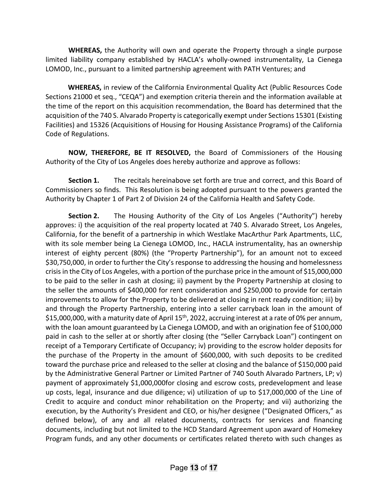**WHEREAS,** the Authority will own and operate the Property through a single purpose limited liability company established by HACLA's wholly-owned instrumentality, La Cienega LOMOD, Inc., pursuant to a limited partnership agreement with PATH Ventures; and

 **WHEREAS,** in review of the California Environmental Quality Act (Public Resources Code Sections 21000 et seq., "CEQA") and exemption criteria therein and the information available at the time of the report on this acquisition recommendation, the Board has determined that the acquisition of the 740 S. Alvarado Property is categorically exempt under Sections 15301 (Existing Facilities) and 15326 (Acquisitions of Housing for Housing Assistance Programs) of the California Code of Regulations.

**NOW, THEREFORE, BE IT RESOLVED,** the Board of Commissioners of the Housing Authority of the City of Los Angeles does hereby authorize and approve as follows:

**Section 1.** The recitals hereinabove set forth are true and correct, and this Board of Commissioners so finds. This Resolution is being adopted pursuant to the powers granted the Authority by Chapter 1 of Part 2 of Division 24 of the California Health and Safety Code.

**Section 2.** The Housing Authority of the City of Los Angeles ("Authority") hereby approves: i) the acquisition of the real property located at 740 S. Alvarado Street, Los Angeles, California, for the benefit of a partnership in which Westlake MacArthur Park Apartments, LLC, with its sole member being La Cienega LOMOD, Inc., HACLA instrumentality, has an ownership interest of eighty percent (80%) (the "Property Partnership"), for an amount not to exceed \$30,750,000, in order to further the City's response to addressing the housing and homelessness crisis in the City of Los Angeles, with a portion of the purchase price in the amount of \$15,000,000 to be paid to the seller in cash at closing; ii) payment by the Property Partnership at closing to the seller the amounts of \$400,000 for rent consideration and \$250,000 to provide for certain improvements to allow for the Property to be delivered at closing in rent ready condition; iii) by and through the Property Partnership, entering into a seller carryback loan in the amount of \$15,000,000, with a maturity date of April 15<sup>th</sup>, 2022, accruing interest at a rate of 0% per annum, with the loan amount guaranteed by La Cienega LOMOD, and with an origination fee of \$100,000 paid in cash to the seller at or shortly after closing (the "Seller Carryback Loan") contingent on receipt of a Temporary Certificate of Occupancy; iv) providing to the escrow holder deposits for the purchase of the Property in the amount of \$600,000, with such deposits to be credited toward the purchase price and released to the seller at closing and the balance of \$150,000 paid by the Administrative General Partner or Limited Partner of 740 South Alvarado Partners, LP; v) payment of approximately \$1,000,000for closing and escrow costs, predevelopment and lease up costs, legal, insurance and due diligence; vi) utilization of up to \$17,000,000 of the Line of Credit to acquire and conduct minor rehabilitation on the Property; and vii) authorizing the execution, by the Authority's President and CEO, or his/her designee ("Designated Officers," as defined below), of any and all related documents, contracts for services and financing documents, including but not limited to the HCD Standard Agreement upon award of Homekey Program funds, and any other documents or certificates related thereto with such changes as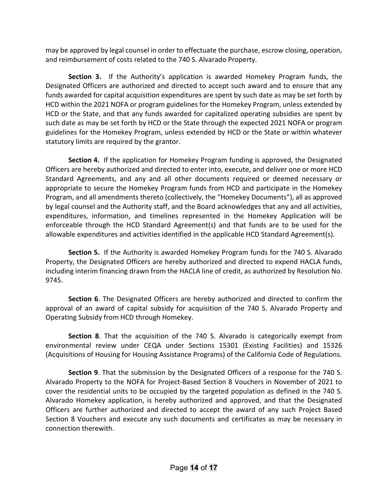may be approved by legal counsel in order to effectuate the purchase, escrow closing, operation, and reimbursement of costs related to the 740 S. Alvarado Property.

**Section 3.** If the Authority's application is awarded Homekey Program funds, the Designated Officers are authorized and directed to accept such award and to ensure that any funds awarded for capital acquisition expenditures are spent by such date as may be set forth by HCD within the 2021 NOFA or program guidelines for the Homekey Program, unless extended by HCD or the State, and that any funds awarded for capitalized operating subsidies are spent by such date as may be set forth by HCD or the State through the expected 2021 NOFA or program guidelines for the Homekey Program, unless extended by HCD or the State or within whatever statutory limits are required by the grantor.

**Section 4.** If the application for Homekey Program funding is approved, the Designated Officers are hereby authorized and directed to enter into, execute, and deliver one or more HCD Standard Agreements, and any and all other documents required or deemed necessary or appropriate to secure the Homekey Program funds from HCD and participate in the Homekey Program, and all amendments thereto (collectively, the "Homekey Documents"), all as approved by legal counsel and the Authority staff, and the Board acknowledges that any and all activities, expenditures, information, and timelines represented in the Homekey Application will be enforceable through the HCD Standard Agreement(s) and that funds are to be used for the allowable expenditures and activities identified in the applicable HCD Standard Agreement(s).

**Section 5.** If the Authority is awarded Homekey Program funds for the 740 S. Alvarado Property, the Designated Officers are hereby authorized and directed to expend HACLA funds, including interim financing drawn from the HACLA line of credit, as authorized by Resolution No. 9745.

**Section 6**. The Designated Officers are hereby authorized and directed to confirm the approval of an award of capital subsidy for acquisition of the 740 S. Alvarado Property and Operating Subsidy from HCD through Homekey.

**Section 8**. That the acquisition of the 740 S. Alvarado is categorically exempt from environmental review under CEQA under Sections 15301 (Existing Facilities) and 15326 (Acquisitions of Housing for Housing Assistance Programs) of the California Code of Regulations.

**Section 9**. That the submission by the Designated Officers of a response for the 740 S. Alvarado Property to the NOFA for Project-Based Section 8 Vouchers in November of 2021 to cover the residential units to be occupied by the targeted population as defined in the 740 S. Alvarado Homekey application, is hereby authorized and approved, and that the Designated Officers are further authorized and directed to accept the award of any such Project Based Section 8 Vouchers and execute any such documents and certificates as may be necessary in connection therewith.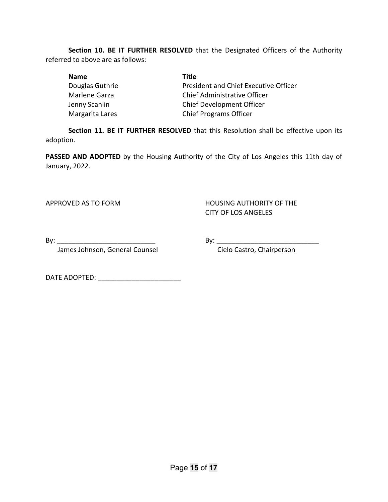**Section 10. BE IT FURTHER RESOLVED** that the Designated Officers of the Authority referred to above are as follows:

| <b>Name</b>     | Title                                 |
|-----------------|---------------------------------------|
| Douglas Guthrie | President and Chief Executive Officer |
| Marlene Garza   | Chief Administrative Officer          |
| Jenny Scanlin   | <b>Chief Development Officer</b>      |
| Margarita Lares | <b>Chief Programs Officer</b>         |

**Section 11. BE IT FURTHER RESOLVED** that this Resolution shall be effective upon its adoption.

**PASSED AND ADOPTED** by the Housing Authority of the City of Los Angeles this 11th day of January, 2022.

APPROVED AS TO FORM HOUSING AUTHORITY OF THE CITY OF LOS ANGELES

By: \_\_\_\_\_\_\_\_\_\_\_\_\_\_\_\_\_\_\_\_\_\_\_\_\_\_ By: \_\_\_\_\_\_\_\_\_\_\_\_\_\_\_\_\_\_\_\_\_\_\_\_\_\_\_

James Johnson, General Counsel **Constanding Construment Cielo Castro**, Chairperson

DATE ADOPTED: \_\_\_\_\_\_\_\_\_\_\_\_\_\_\_\_\_\_\_\_\_\_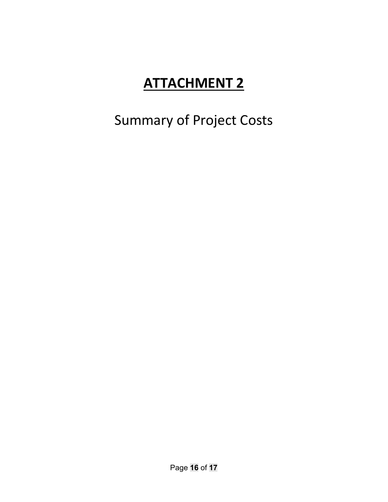Summary of Project Costs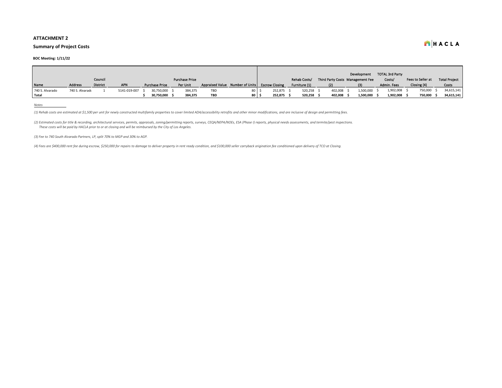#### **Summary of Project Costs**

#### **BOC Meeting: 1/11/22**

|                 |                 |                 |              |                       |                       |                                                |    |         |               |                                  | Development | <b>TOTAL 3rd Party</b> |                   |                      |            |
|-----------------|-----------------|-----------------|--------------|-----------------------|-----------------------|------------------------------------------------|----|---------|---------------|----------------------------------|-------------|------------------------|-------------------|----------------------|------------|
|                 |                 | Council         |              |                       | <b>Purchase Price</b> |                                                |    |         | Rehab Costs/  | Third Party Costs Management Fee |             | Costs/                 | Fees to Seller at | <b>Total Project</b> |            |
| Name            | <b>Address</b>  | <b>District</b> | <b>APN</b>   | <b>Purchase Price</b> | Per Unit              | Appraised Value Number of Units Escrow Closing |    |         | Furniture (1) | (2)                              | (3)         | Admin. Fees            | Closing (4)       | Costs                |            |
| 740 S. Alvarado | 740 S. Alvarado |                 | 5141-019-007 | 30,750,000            | 384.375               | <b>TBD</b>                                     | 80 | 252,875 | 520,258       | 402,008                          | L,500,000   | 1,902,008              | 750,000           |                      | 34,615,141 |
| Total           |                 |                 |              | 30,750,000            | 384,375               | <b>TBD</b>                                     | 80 | 252,875 | 520,258       | 402,008                          | 1,500,000   | 1,902,008              | 750,000           |                      | 34,615,141 |

*Notes*

(1) Rehab costs are estimated at \$1,500 per unit for newly constructed multifamily properties to cover limited ADA/accessibility retrofits and other minor modifications, and are inclusive of design and permitting fees.

(2) Estimated costs for title & recording, architectural services, permits, appraisals, zoning/permitting reports, surveys, CEQA/NEPA/NOEs, ESA (Phase I) reports, physical needs assessments, and termite/pest inspections. *These costs will be paid by HACLA prior to or at closing and will be reimbursed by the City of Los Angeles.*

*(3) Fee to 740 South Alvarado Partners, LP, split 70% to MGP and 30% to AGP.*

*(4) Fees are \$400,000 rent fee during escrow, \$250,000 for repairs to damage to deliver property in rent ready condition, and \$100,000 seller carryback origination fee conditioned upon delivery of TCO at Closing.*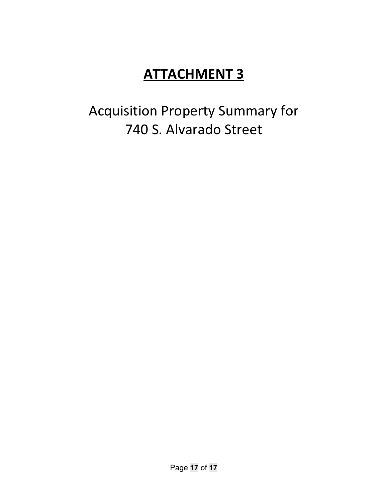Acquisition Property Summary for 740 S. Alvarado Street